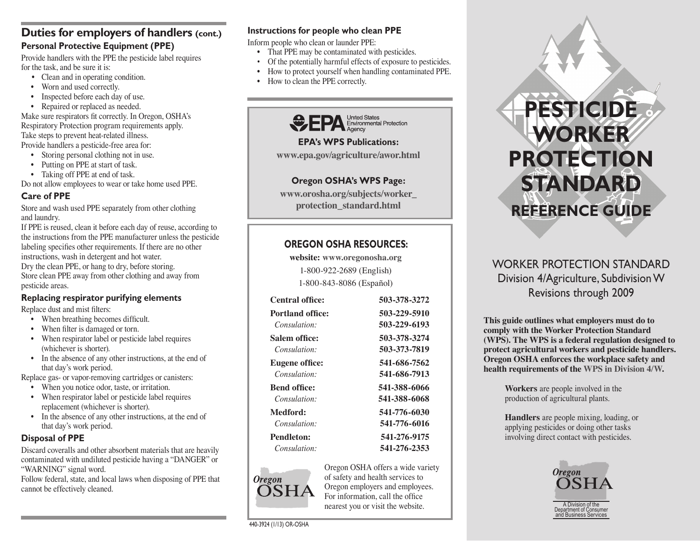# **Duties for employers of handlers (cont.) Personal Protective Equipment (PPE)**

Provide handlers with the PPE the pesticide label requires for the task, and be sure it is:

- Clean and in operating condition.
- Worn and used correctly.
- Inspected before each day of use.
- Repaired or replaced as needed.

Make sure respirators fit correctly. In Oregon, OSHA's Respiratory Protection program requirements apply. Take steps to prevent heat-related illness. Provide handlers a pesticide-free area for:

- Storing personal clothing not in use.
- Putting on PPE at start of task.

• Taking off PPE at end of task.

Do not allow employees to wear or take home used PPE.

# **Care of PPE**

Store and wash used PPE separately from other clothing and laundry.

If PPE is reused, clean it before each day of reuse, according to the instructions from the PPE manufacturer unless the pesticide labeling specifies other requirements. If there are no other instructions, wash in detergent and hot water. Dry the clean PPE, or hang to dry, before storing. Store clean PPE away from other clothing and away from pesticide areas.

# **Replacing respirator purifying elements**

Replace dust and mist filters:

- When breathing becomes difficult.
- When filter is damaged or torn.
- When respirator label or pesticide label requires (whichever is shorter).
- In the absence of any other instructions, at the end of that day's work period.

Replace gas- or vapor-removing cartridges or canisters:

- When you notice odor, taste, or irritation.
- When respirator label or pesticide label requires replacement (whichever is shorter).
- In the absence of any other instructions, at the end of that day's work period.

# **Disposal of PPE**

Discard coveralls and other absorbent materials that are heavily contaminated with undiluted pesticide having a "DANGER" or "WARNING" signal word.

Follow federal, state, and local laws when disposing of PPE that cannot be effectively cleaned.

#### **Instructions for people who clean PPE**

Inform people who clean or launder PPE:

- That PPE may be contaminated with pesticides.
- Of the potentially harmful effects of exposure to pesticides.
- How to protect yourself when handling contaminated PPE.
- How to clean the PPE correctly.



**EPA's WPS Publications:** 

**www.epa.gov/agriculture/awor.html**

# **Oregon OSHA's WPS Page:**

**www.orosha.org/subjects/worker\_ protection\_standard.html**

# **OREGON OSHA RESOURCES:**

**website: www.oregonosha.org** 1-800-922-2689 (English) 1-800-843-8086 (Español)

| 503-378-3272 |
|--------------|
| 503-229-5910 |
| 503-229-6193 |
| 503-378-3274 |
| 503-373-7819 |
| 541-686-7562 |
| 541-686-7913 |
| 541-388-6066 |
| 541-388-6068 |
| 541-776-6030 |
| 541-776-6016 |
| 541-276-9175 |
| 541-276-2353 |
|              |



Oregon OSHA offers a wide variety of safety and health services to Oregon employers and employees. For information, call the office nearest you or visit the website.



# WORKER PROTECTION STANDARD Division 4/Agriculture, Subdivision W Revisions through 2009

**This guide outlines what employers must do to comply with the Worker Protection Standard (WPS). The WPS is a federal regulation designed to protect agricultural workers and pesticide handlers. Oregon OSHA enforces the workplace safety and health requirements of the WPS in Division 4/W.**

> **Workers** are people involved in the production of agricultural plants.

**Handlers** are people mixing, loading, or applying pesticides or doing other tasks involving direct contact with pesticides.



A Division of the Department of Consumer and Business Services